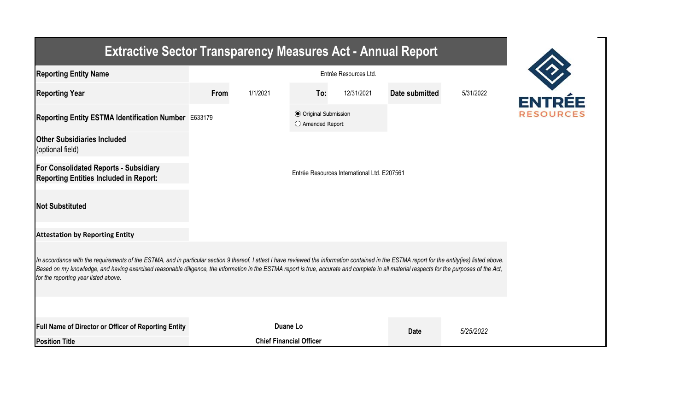| <b>Extractive Sector Transparency Measures Act - Annual Report</b>                                                                                                                                                                                                                                                                                                                                                                    |                       |                                             |                                                  |            |                |           |  |  |  |  |
|---------------------------------------------------------------------------------------------------------------------------------------------------------------------------------------------------------------------------------------------------------------------------------------------------------------------------------------------------------------------------------------------------------------------------------------|-----------------------|---------------------------------------------|--------------------------------------------------|------------|----------------|-----------|--|--|--|--|
| <b>Reporting Entity Name</b>                                                                                                                                                                                                                                                                                                                                                                                                          | Entrée Resources Ltd. |                                             |                                                  |            |                |           |  |  |  |  |
| <b>Reporting Year</b>                                                                                                                                                                                                                                                                                                                                                                                                                 | From                  | 1/1/2021                                    | To:                                              | 12/31/2021 | Date submitted | 5/31/2022 |  |  |  |  |
| Reporting Entity ESTMA Identification Number E633179                                                                                                                                                                                                                                                                                                                                                                                  |                       |                                             | <b>● Original Submission</b><br>○ Amended Report |            |                |           |  |  |  |  |
| <b>Other Subsidiaries Included</b><br>(optional field)                                                                                                                                                                                                                                                                                                                                                                                |                       |                                             |                                                  |            |                |           |  |  |  |  |
| <b>For Consolidated Reports - Subsidiary</b><br><b>Reporting Entities Included in Report:</b>                                                                                                                                                                                                                                                                                                                                         |                       | Entrée Resources International Ltd. E207561 |                                                  |            |                |           |  |  |  |  |
| <b>Not Substituted</b>                                                                                                                                                                                                                                                                                                                                                                                                                |                       |                                             |                                                  |            |                |           |  |  |  |  |
| <b>Attestation by Reporting Entity</b>                                                                                                                                                                                                                                                                                                                                                                                                |                       |                                             |                                                  |            |                |           |  |  |  |  |
| In accordance with the requirements of the ESTMA, and in particular section 9 thereof, I attest I have reviewed the information contained in the ESTMA report for the entity(ies) listed above.<br>Based on my knowledge, and having exercised reasonable diligence, the information in the ESTMA report is true, accurate and complete in all material respects for the purposes of the Act,<br>for the reporting year listed above. |                       |                                             |                                                  |            |                |           |  |  |  |  |
|                                                                                                                                                                                                                                                                                                                                                                                                                                       |                       |                                             |                                                  |            |                |           |  |  |  |  |
| Full Name of Director or Officer of Reporting Entity                                                                                                                                                                                                                                                                                                                                                                                  |                       | Duane Lo                                    |                                                  |            | <b>Date</b>    | 5/25/2022 |  |  |  |  |
| <b>Position Title</b>                                                                                                                                                                                                                                                                                                                                                                                                                 |                       | <b>Chief Financial Officer</b>              |                                                  |            |                |           |  |  |  |  |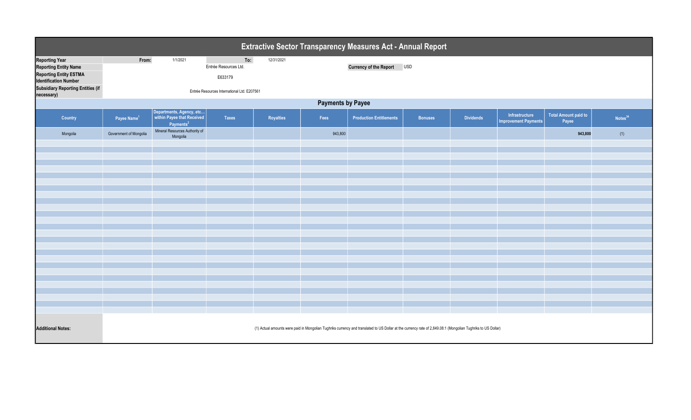| Extractive Sector Transparency Measures Act - Annual Report                                                                                                        |                                                                                                                                                              |                                                                                 |                                                                                        |            |         |                                |                |                  |                                               |                                      |                     |  |
|--------------------------------------------------------------------------------------------------------------------------------------------------------------------|--------------------------------------------------------------------------------------------------------------------------------------------------------------|---------------------------------------------------------------------------------|----------------------------------------------------------------------------------------|------------|---------|--------------------------------|----------------|------------------|-----------------------------------------------|--------------------------------------|---------------------|--|
| <b>Reporting Year</b><br><b>Reporting Entity Name</b><br><b>Reporting Entity ESTMA</b><br><b>Identification Number</b><br><b>Subsidiary Reporting Entities (if</b> | From:                                                                                                                                                        | 1/1/2021                                                                        | To:<br>Entrée Resources Ltd.<br>E633179<br>Entrée Resources International Ltd. E207561 | 12/31/2021 |         | Currency of the Report USD     |                |                  |                                               |                                      |                     |  |
| necessary)                                                                                                                                                         | <b>Payments by Payee</b>                                                                                                                                     |                                                                                 |                                                                                        |            |         |                                |                |                  |                                               |                                      |                     |  |
| Country                                                                                                                                                            | Payee Name <sup>1</sup>                                                                                                                                      | Departments, Agency, etc<br>within Payee that Received<br>Payments <sup>2</sup> | <b>Taxes</b>                                                                           | Royalties  | Fees    | <b>Production Entitlements</b> | <b>Bonuses</b> | <b>Dividends</b> | Infrastructure<br><b>Improvement Payments</b> | <b>Total Amount paid to</b><br>Payee | Notes <sup>34</sup> |  |
| Mongolia                                                                                                                                                           | Government of Mongolia                                                                                                                                       | Mineral Resources Authority of<br>Mongolia                                      |                                                                                        |            | 943,800 |                                |                |                  |                                               | 943,800                              | (1)                 |  |
|                                                                                                                                                                    |                                                                                                                                                              |                                                                                 |                                                                                        |            |         |                                |                |                  |                                               |                                      |                     |  |
|                                                                                                                                                                    |                                                                                                                                                              |                                                                                 |                                                                                        |            |         |                                |                |                  |                                               |                                      |                     |  |
|                                                                                                                                                                    |                                                                                                                                                              |                                                                                 |                                                                                        |            |         |                                |                |                  |                                               |                                      |                     |  |
|                                                                                                                                                                    |                                                                                                                                                              |                                                                                 |                                                                                        |            |         |                                |                |                  |                                               |                                      |                     |  |
|                                                                                                                                                                    |                                                                                                                                                              |                                                                                 |                                                                                        |            |         |                                |                |                  |                                               |                                      |                     |  |
|                                                                                                                                                                    |                                                                                                                                                              |                                                                                 |                                                                                        |            |         |                                |                |                  |                                               |                                      |                     |  |
|                                                                                                                                                                    |                                                                                                                                                              |                                                                                 |                                                                                        |            |         |                                |                |                  |                                               |                                      |                     |  |
|                                                                                                                                                                    |                                                                                                                                                              |                                                                                 |                                                                                        |            |         |                                |                |                  |                                               |                                      |                     |  |
|                                                                                                                                                                    |                                                                                                                                                              |                                                                                 |                                                                                        |            |         |                                |                |                  |                                               |                                      |                     |  |
|                                                                                                                                                                    |                                                                                                                                                              |                                                                                 |                                                                                        |            |         |                                |                |                  |                                               |                                      |                     |  |
|                                                                                                                                                                    |                                                                                                                                                              |                                                                                 |                                                                                        |            |         |                                |                |                  |                                               |                                      |                     |  |
|                                                                                                                                                                    |                                                                                                                                                              |                                                                                 |                                                                                        |            |         |                                |                |                  |                                               |                                      |                     |  |
|                                                                                                                                                                    |                                                                                                                                                              |                                                                                 |                                                                                        |            |         |                                |                |                  |                                               |                                      |                     |  |
| <b>Additional Notes:</b>                                                                                                                                           | (1) Actual amounts were paid in Mongolian Tughriks currency and translated to US Dollar at the currency rate of 2,849.08:1 (Mongolian Tughriks to US Dollar) |                                                                                 |                                                                                        |            |         |                                |                |                  |                                               |                                      |                     |  |